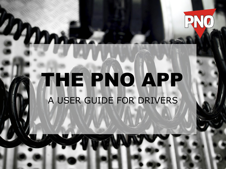# THE PNO APP A USER GUIDE FOR DRIVERS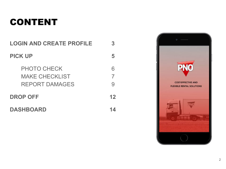## CONTENT

| <b>LOGIN AND CREATE PROFILE</b>                                      | 3  |
|----------------------------------------------------------------------|----|
| <b>PICK UP</b>                                                       | 5  |
| <b>PHOTO CHECK</b><br><b>MAKE CHECKLIST</b><br><b>REPORT DAMAGES</b> | 7  |
| <b>DROP OFF</b>                                                      | 12 |
| <b>DASHBOARD</b>                                                     |    |

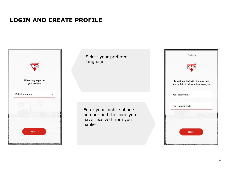#### **LOGIN AND CREATE PROFILE**



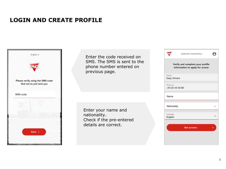#### **LOGIN AND CREATE PROFILE**



Enter the code received on SMS. The SMS is sent to the phone number entered on previous page.

Enter your name and nationality. Check if the pre-entered details are correct.

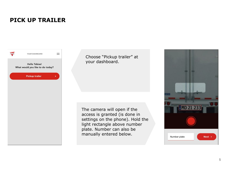#### **PICK UP TRAILER**



Choose "Pickup trailer" at your dashboard.

The camera will open if the access is granted (is done in settings on the phone). Hold the light rectangle above number plate. Number can also be manually entered below.

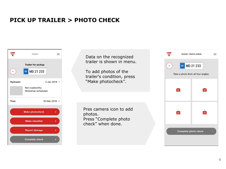### **PICK UP TRAILER > PHOTO CHECK**



**RNO** PICKUP / PHOTO CHECK Data on the recognized trailer is shown in menu. DK MD 21 233  $\blacktriangleleft$ To add photos of the Take a photo from all four angles: trailer's condition, press "Make photocheck".  $\overline{\bullet}$  $\bullet$ Pres camera icon to add  $\overline{a}$  $\bullet$ photos. Press "Complete photo check" when done. **Complete photo check** 

E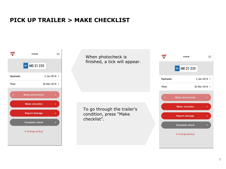#### **PICK UP TRAILER > MAKE CHECKLIST**



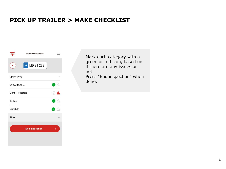#### **PICK UP TRAILER > MAKE CHECKLIST**



Mark each category with a green or red icon, based on if there are any issues or not.

Press "End inspection" when done.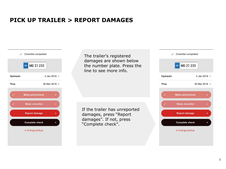#### **PICK UP TRAILER > REPORT DAMAGES**



The trailer's registered damages are shown below the number plate. Press the line to see more info.

If the trailer has unreported damages, press "Report damages". If not, press "Complete check".

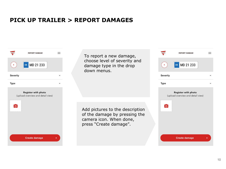#### **PICK UP TRAILER > REPORT DAMAGES**



To report a new damage, choose level of severity and damage type in the drop down menus.

Add pictures to the description of the damage by pressing the camera icon. When done, press "Create damage".

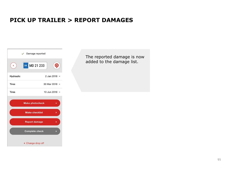#### **PICK UP TRAILER > REPORT DAMAGES**



The reported damage is now added to the damage list.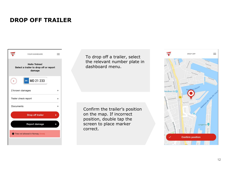#### **DROP OFF TRAILER**



To drop off a trailer, select the relevant number plate in dashboard menu.

Confirm the trailer's position on the map. If incorrect position, double tap the screen to place marker correct.

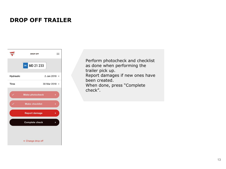#### **DROP OFF TRAILER**



Perform photocheck and checklist as done when performing the trailer pick up. Report damages if new ones have been created. When done, press "Complete check".